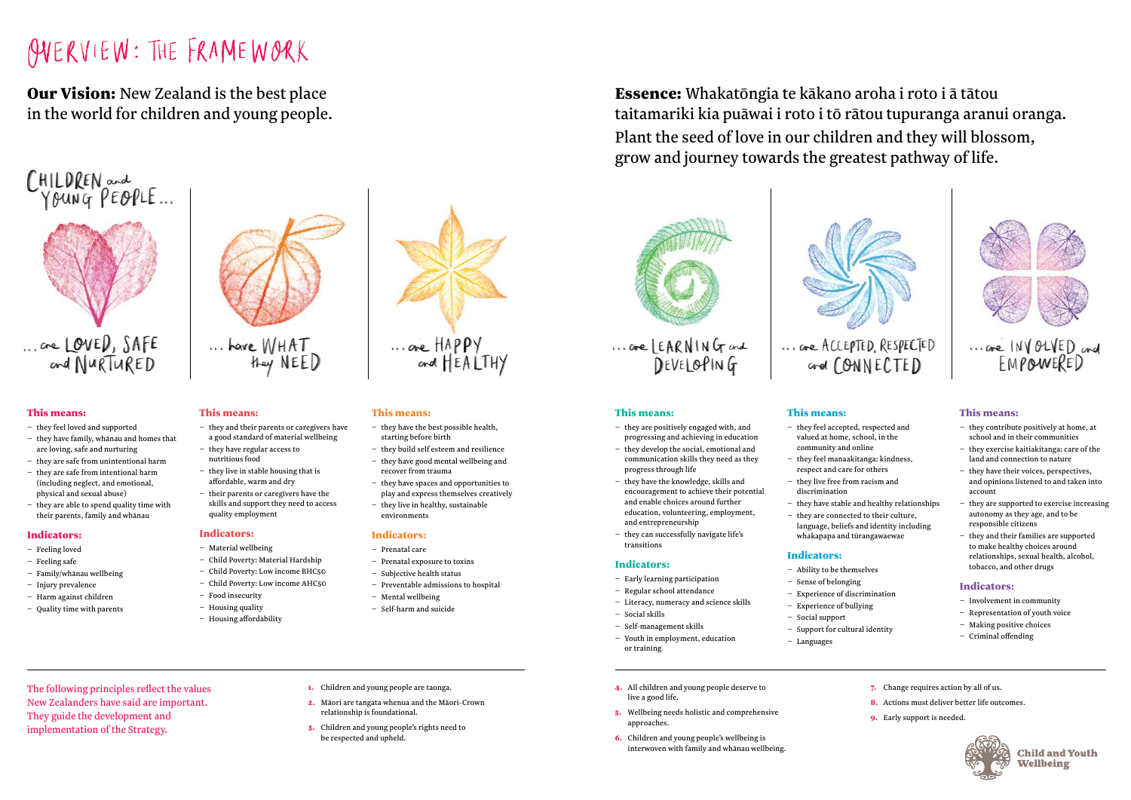#### This means:

- they feel loved and supported
- they have family, whānau and homes that are loving, safe and nurturing
- they are safe from unintentional harm – they are safe from intentional harm (including neglect, and emotional, physical and sexual abuse)
- they are able to spend quality time with their parents, family and whānau

#### Indicators:

- Feeling loved
- Feeling safe
- Family/whānau wellbeing
- Injury prevalence
- Harm against children
- Quality time with parents

# ... Lave WHAT they NEED

#### This means:

- they and their parents or caregivers have a good standard of material wellbeing
- they have regular access to nutritious food
- they live in stable housing that is affordable, warm and dry
- their parents or caregivers have the skills and support they need to access quality employment

#### Indicators:

- Material wellbeing
- Child Poverty: Material Hardship
- Child Poverty: Low income BHC50
- Child Poverty: Low income AHC50
- Food insecurity
- Housing quality
- Housing affordability



#### This means:

- they have the best possible health, starting before birth
- they build self esteem and resilience
- they have good mental wellbeing and recover from trauma
- they have spaces and opportunities to play and express themselves creatively
- they live in healthy, sustainable environments

#### Indicators:

- Prenatal care
- Prenatal exposure to toxins
- Subjective health status
- Preventable admissions to hospital
- Mental wellbeing
- Self-harm and suicide

#### This means:

- they are positively engaged with, and progressing and achieving in education
- they develop the social, emotional and communication skills they need as they progress through life
- they have the knowledge, skills and encouragement to achieve their potential and enable choices around further education, volunteering, employment, and entrepreneurship
- they can successfully navigate life's transitions

#### Indicators:

## *QUERVIEW: THE FRAMEWORK*

**Our Vision:** New Zealand is the best place in the world for children and young people.



... are LOVED, SAFE and NURTURED

- Early learning participation
- Regular school attendance
- Literacy, numeracy and science skills
- Social skills
- Self-management skills – Youth in employment, education or training
- they feel accepted, respected and
	-
- - This means:
		- valued at home, school, in the community and online – they feel manaakitanga: kindness,
		- respect and care for others – they live free from racism and discrimination
		- they are connected to their culture,
		- whakapapa and tūrangawaewae

– they have stable and healthy relationships language, beliefs and identity including



### Indicators:

- Ability to be themselves – Sense of belonging – Experience of discrimination
- 
- Experience of bullying
- Social support
- Support for cultural identity
- Languages



... are ACCEPTED, RESPECTED and CONNECTED

#### This means:

- they contribute positively at home, at school and in their communities
- they exercise kaitiakitanga: care of the land and connection to nature
- they have their voices, perspectives, and opinions listened to and taken into account
- they are supported to exercise increasing autonomy as they age, and to be responsible citizens
- they and their families are supported to make healthy choices around relationships, sexual health, alcohol, tobacco, and other drugs

#### Indicators:

The following principles reflect the values New Zealanders have said are important. They guide the development and implementation of the Strategy.

- 1. Children and young people are taonga.
- 2. Māori are tangata whenua and the Māori-Crown relationship is foundational.
- 3. Children and young people's rights need to be respected and upheld.
- Involvement in community
- Representation of youth voice
- Making positive choices
- Criminal offending
- 7. Change requires action by all of us.
- 8. Actions must deliver better life outcomes.
- 9. Early support is needed.



**Child and Youth Wellbeing** 

- 4. All children and young people deserve to live a good life.
- 5. Wellbeing needs holistic and comprehensive approaches.
- 6. Children and young people's wellbeing is interwoven with family and whānau wellbeing.
- - -

## Essence: Whakatōngia te kākano aroha i roto i ā tātou taitamariki kia puāwai i roto i tō rātou tupuranga aranui oranga. Plant the seed of love in our children and they will blossom, grow and journey towards the greatest pathway of life.